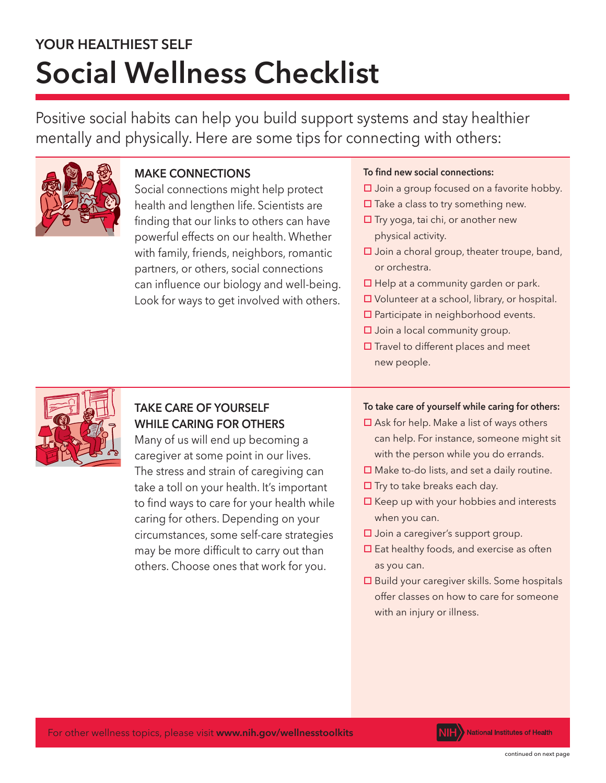# **YOUR HEALTHIEST SELF Social Wellness Checklist**

Positive social habits can help you build support systems and stay healthier mentally and physically. Here are some tips for connecting with others:



# **MAKE CONNECTIONS**

Social connections might help protect health and lengthen life. Scientists are finding that our links to others can have powerful effects on our health. Whether with family, friends, neighbors, romantic partners, or others, social connections can influence our biology and well-being. Look for ways to get involved with others.

#### To find new social connections:

- $\square$  Join a group focused on a favorite hobby.
- $\square$  Take a class to try something new.
- $\square$  Try yoga, tai chi, or another new physical activity.
- $\square$  Join a choral group, theater troupe, band, or orchestra.
- $\Box$  Help at a community garden or park.
- $\Box$  Volunteer at a school, library, or hospital.
- $\square$  Participate in neighborhood events.
- $\square$  Join a local community group.
- $\square$  Travel to different places and meet new people.



# **TAKE CARE OF YOURSELF WHILE CARING FOR OTHERS**

Many of us will end up becoming a caregiver at some point in our lives. The stress and strain of caregiving can take a toll on your health. It's important to find ways to care for your health while caring for others. Depending on your circumstances, some self-care strategies may be more difficult to carry out than others. Choose ones that work for you.

## **To take care of yourself while caring for others:**

- $\square$  Ask for help. Make a list of ways others can help. For instance, someone might sit with the person while you do errands.
- $\square$  Make to-do lists, and set a daily routine.
- $\Box$  Try to take breaks each day.
- $\Box$  Keep up with your hobbies and interests when you can.
- $\square$  Join a caregiver's support group.
- $\square$  Eat healthy foods, and exercise as often as you can.
- $\square$  Build your caregiver skills. Some hospitals offer classes on how to care for someone with an injury or illness.

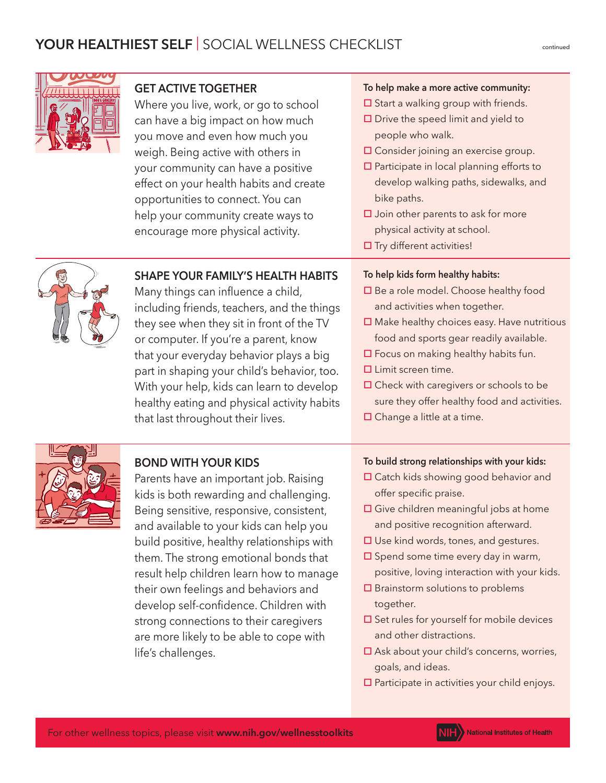



# **GET ACTIVE TOGETHER**

Where you live, work, or go to school can have a big impact on how much you move and even how much you weigh. Being active with others in your community can have a positive effect on your health habits and create opportunities to connect. You can help your community create ways to encourage more physical activity.

**SHAPE YOUR FAMILY'S HEALTH HABITS**

including friends, teachers, and the things they see when they sit in front of the TV or computer. If you're a parent, know that your everyday behavior plays a big part in shaping your child's behavior, too. With your help, kids can learn to develop healthy eating and physical activity habits

Many things can influence a child,

#### **To help make a more active community:**

- $\square$  Start a walking group with friends.
- $\square$  Drive the speed limit and yield to people who walk.
- $\Box$  Consider joining an exercise group.
- $\square$  Participate in local planning efforts to develop walking paths, sidewalks, and bike paths.
- $\square$  Join other parents to ask for more physical activity at school.
- $\square$  Try different activities!

#### **To help kids form healthy habits:**

- $\Box$  Be a role model. Choose healthy food and activities when together.
- $\Box$  Make healthy choices easy. Have nutritious food and sports gear readily available.
- $\square$  Focus on making healthy habits fun.
- $\square$  Limit screen time.
- $\square$  Check with caregivers or schools to be sure they offer healthy food and activities.
- $\square$  Change a little at a time.



## **BOND WITH YOUR KIDS**

that last throughout their lives.

Parents have an important job. Raising kids is both rewarding and challenging. Being sensitive, responsive, consistent, and available to your kids can help you build positive, healthy relationships with them. The strong emotional bonds that result help children learn how to manage their own feelings and behaviors and develop self-confidence. Children with strong connections to their caregivers are more likely to be able to cope with life's challenges.

#### **To build strong relationships with your kids:**

- □ Catch kids showing good behavior and offer specific praise.
- □ Give children meaningful jobs at home and positive recognition afterward.
- $\square$  Use kind words, tones, and gestures.
- $\square$  Spend some time every day in warm, positive, loving interaction with your kids.
- $\square$  Brainstorm solutions to problems together.
- $\square$  Set rules for yourself for mobile devices and other distractions.
- $\square$  Ask about your child's concerns, worries, goals, and ideas.
- $\square$  Participate in activities your child enjoys.